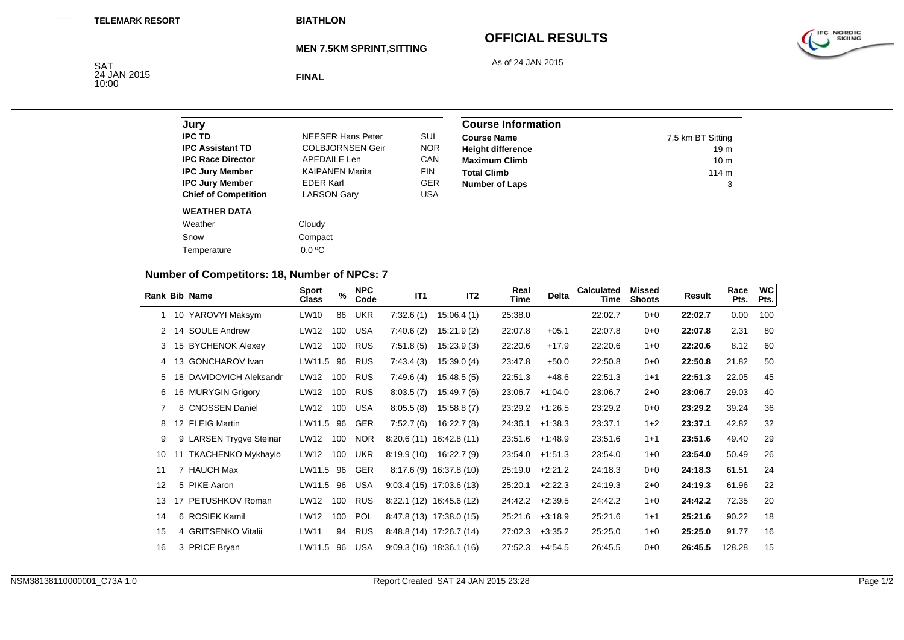# **OFFICIAL RESULTS**

As of 24 JAN 2015



### **MEN 7.5KM SPRINT,SITTING**

SAT<br>24 JAN 2015<br>10:00

**FINAL**

| Jury                        |                          |            |
|-----------------------------|--------------------------|------------|
| <b>IPC TD</b>               | <b>NFFSFR Hans Peter</b> | SUI        |
| <b>IPC Assistant TD</b>     | <b>COLBJORNSEN Geir</b>  | <b>NOR</b> |
| <b>IPC Race Director</b>    | APFDAIL F Len            | CAN        |
| <b>IPC Jury Member</b>      | <b>KAIPANEN Marita</b>   | <b>FIN</b> |
| <b>IPC Jury Member</b>      | <b>EDER Karl</b>         | <b>GER</b> |
| <b>Chief of Competition</b> | <b>LARSON Gary</b>       | USA        |
| <b>WEATHER DATA</b>         |                          |            |
| Weather                     | Cloudy                   |            |
| Snow                        | Compact                  |            |
| Temperature                 | $0.0 \degree C$          |            |

| <b>Course Information</b> |                   |
|---------------------------|-------------------|
| <b>Course Name</b>        | 7,5 km BT Sitting |
| <b>Height difference</b>  | 19 <sub>m</sub>   |
| <b>Maximum Climb</b>      | 10 <sub>m</sub>   |
| <b>Total Climb</b>        | 114 m             |
| <b>Number of Laps</b>     | 3                 |

## **Number of Competitors: 18, Number of NPCs: 7**

|    |    | Rank Bib Name           | <b>Sport</b><br><b>Class</b> | $\%$ | <b>NPC</b><br>Code | IT1        | IT <sub>2</sub>           | Real<br>Time | <b>Delta</b> | Calculated<br>Time | <b>Missed</b><br><b>Shoots</b> | Result  | Race<br>Pts. | <b>WC</b><br>Pts. |
|----|----|-------------------------|------------------------------|------|--------------------|------------|---------------------------|--------------|--------------|--------------------|--------------------------------|---------|--------------|-------------------|
|    |    | 1 10 YAROVYI Maksym     | LW10                         | 86   | <b>UKR</b>         | 7:32.6(1)  | 15:06.4(1)                | 25:38.0      |              | 22:02.7            | $0 + 0$                        | 22:02.7 | 0.00         | 100               |
|    |    | 14 SOULE Andrew         | LW12                         | 100  | <b>USA</b>         | 7:40.6(2)  | 15:21.9(2)                | 22:07.8      | $+05.1$      | 22:07.8            | $0 + 0$                        | 22:07.8 | 2.31         | 80                |
| 3  |    | 15 BYCHENOK Alexey      | LW12                         | 100  | <b>RUS</b>         | 7:51.8(5)  | 15:23.9(3)                | 22:20.6      | $+17.9$      | 22:20.6            | $1 + 0$                        | 22:20.6 | 8.12         | 60                |
| 4  |    | 13 GONCHAROV Ivan       | LW11.5                       | 96   | <b>RUS</b>         | 7:43.4(3)  | 15:39.0(4)                | 23:47.8      | $+50.0$      | 22:50.8            | $0 + 0$                        | 22:50.8 | 21.82        | 50                |
| 5  |    | 18 DAVIDOVICH Aleksandr | LW12                         | 100  | <b>RUS</b>         | 7:49.6(4)  | 15:48.5(5)                | 22:51.3      | $+48.6$      | 22:51.3            | $1 + 1$                        | 22:51.3 | 22.05        | 45                |
| 6  |    | 16 MURYGIN Grigory      | LW12                         | 100  | <b>RUS</b>         | 8:03.5(7)  | 15:49.7(6)                | 23:06.7      | $+1:04.0$    | 23:06.7            | $2 + 0$                        | 23:06.7 | 29.03        | 40                |
| 7  |    | 8 CNOSSEN Daniel        | LW12                         | 100  | <b>USA</b>         | 8:05.5(8)  | 15:58.8(7)                | 23:29.2      | $+1:26.5$    | 23:29.2            | $0+0$                          | 23:29.2 | 39.24        | 36                |
| 8  |    | 12 FLEIG Martin         | LW11.5                       | 96   | <b>GER</b>         | 7:52.7(6)  | 16:22.7(8)                | 24:36.1      | $+1:38.3$    | 23:37.1            | $1+2$                          | 23:37.1 | 42.82        | 32                |
| 9  |    | 9 LARSEN Trygve Steinar | LW12                         | 100  | <b>NOR</b>         |            | $8:20.6(11)$ 16:42.8(11)  | 23:51.6      | $+1.48.9$    | 23:51.6            | $1 + 1$                        | 23:51.6 | 49.40        | 29                |
| 10 | 11 | TKACHENKO Mykhaylo      | LW12                         | 100  | <b>UKR</b>         | 8:19.9(10) | 16:22.7 (9)               | 23:54.0      | $+1.51.3$    | 23:54.0            | $1 + 0$                        | 23:54.0 | 50.49        | 26                |
| 11 |    | 7 HAUCH Max             | LW11.5                       | 96   | <b>GER</b>         |            | $8:17.6(9)$ 16:37.8 (10)  | 25:19.0      | $+2:21.2$    | 24:18.3            | $0 + 0$                        | 24:18.3 | 61.51        | 24                |
| 12 |    | 5 PIKE Aaron            | LW11.5                       | 96   | <b>USA</b>         |            | $9:03.4(15)$ 17:03.6 (13) | 25:20.1      | $+2:22.3$    | 24:19.3            | $2 + 0$                        | 24:19.3 | 61.96        | 22                |
| 13 | 17 | PETUSHKOV Roman         | LW12                         | 100  | <b>RUS</b>         |            | 8:22.1 (12) 16:45.6 (12)  | 24:42.2      | $+2:39.5$    | 24:42.2            | $1 + 0$                        | 24:42.2 | 72.35        | 20                |
| 14 |    | 6 ROSIEK Kamil          | LW12                         | 100  | <b>POL</b>         |            | 8:47.8 (13) 17:38.0 (15)  | 25:21.6      | $+3.18.9$    | 25:21.6            | $1 + 1$                        | 25:21.6 | 90.22        | 18                |
| 15 |    | 4 GRITSENKO Vitalii     | LW11                         | 94   | <b>RUS</b>         |            | 8:48.8 (14) 17:26.7 (14)  | 27:02.3      | $+3:35.2$    | 25:25.0            | $1 + 0$                        | 25:25.0 | 91.77        | 16                |
| 16 |    | 3 PRICE Bryan           | LW11.5                       | 96   | <b>USA</b>         |            | $9:09.3(16)$ 18:36.1 (16) | 27:52.3      | $+4.54.5$    | 26:45.5            | $0 + 0$                        | 26:45.5 | 128.28       | 15                |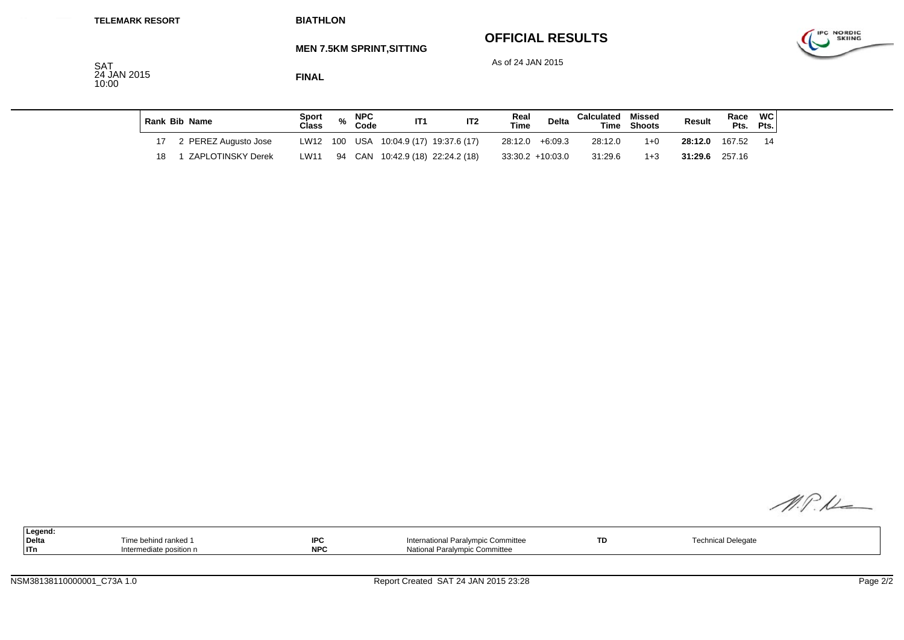| <b>TELEMARK RESORT</b> |                           |    | <b>BIATHLON</b>          |                |      |                    |                                  |                                  |                                              |                    |                          |             |         |              |                   |                                    |
|------------------------|---------------------------|----|--------------------------|----------------|------|--------------------|----------------------------------|----------------------------------|----------------------------------------------|--------------------|--------------------------|-------------|---------|--------------|-------------------|------------------------------------|
|                        | <b>SAT</b><br>24 JAN 2015 |    |                          | <b>FINAL</b>   |      |                    | <b>MEN 7.5KM SPRINT, SITTING</b> |                                  | <b>OFFICIAL RESULTS</b><br>As of 24 JAN 2015 |                    |                          |             |         |              |                   | <b>IPC NORDIC</b><br><b>SKIING</b> |
|                        | 10:00                     |    |                          |                |      |                    |                                  |                                  |                                              |                    |                          |             |         |              |                   |                                    |
|                        |                           |    | <b>Rank Bib Name</b>     | Sport<br>Class | $\%$ | <b>NPC</b><br>Code | IT1                              | IT <sub>2</sub>                  | Real<br><b>Time</b>                          | Delta              | <b>Calculated Missed</b> | Time Shoots | Result  | Race<br>Pts. | <b>WC</b><br>Pts. |                                    |
|                        |                           | 17 | 2 PEREZ Augusto Jose     | LW12           | 100  |                    |                                  | USA 10:04.9 (17) 19:37.6 (17)    |                                              | $28:12.0 + 6:09.3$ | 28:12.0                  | $1 + 0$     | 28:12.0 | 167.52       | -14               |                                    |
|                        |                           | 18 | <b>ZAPLOTINSKY Derek</b> | LW11           |      |                    |                                  | 94 CAN 10:42.9 (18) 22:24.2 (18) |                                              | $33:30.2 +10:03.0$ | 31:29.6                  | $1 + 3$     | 31:29.6 | 257.16       |                   |                                    |

| M.P.D |  |
|-------|--|

| Legend:<br><b>Delta</b><br> ITn | Time behind ranked 1<br>Intermediate position n | <b>IPC</b><br><b>NPC</b> | International Paralympic Committee<br>National Paralympic Committee | <b>TD</b> | <b>Technical Delegate</b> |  |
|---------------------------------|-------------------------------------------------|--------------------------|---------------------------------------------------------------------|-----------|---------------------------|--|
|                                 |                                                 |                          |                                                                     |           |                           |  |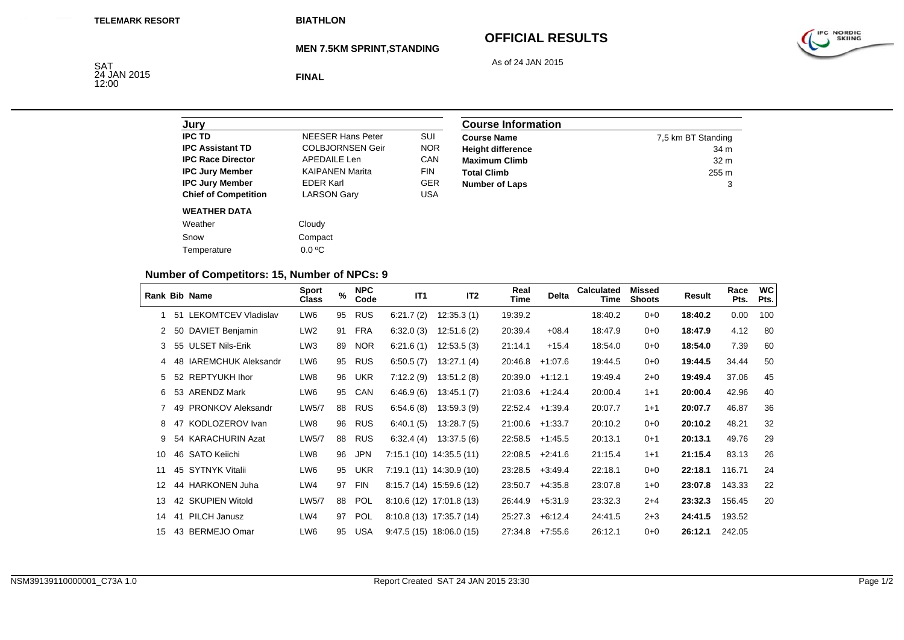# **OFFICIAL RESULTS**

As of 24 JAN 2015



### **MEN 7.5KM SPRINT,STANDING**

SAT<br>24 JAN 2015<br>12:00

**FINAL**

| Jury                        |                          |            |
|-----------------------------|--------------------------|------------|
| <b>IPC TD</b>               | <b>NFFSFR Hans Peter</b> | SUI        |
| <b>IPC Assistant TD</b>     | <b>COLBJORNSEN Geir</b>  | <b>NOR</b> |
| <b>IPC Race Director</b>    | APFDAIL F Len            | CAN        |
| <b>IPC Jury Member</b>      | <b>KAIPANEN Marita</b>   | <b>FIN</b> |
| <b>IPC Jury Member</b>      | <b>FDFR Karl</b>         | GFR        |
| <b>Chief of Competition</b> | <b>LARSON Gary</b>       | USA        |
| <b>WEATHER DATA</b>         |                          |            |
| Weather                     | Cloudy                   |            |
| Snow                        | Compact                  |            |
| Temperature                 | $0.0 \degree C$          |            |

| <b>Course Information</b> |                    |  |  |  |  |
|---------------------------|--------------------|--|--|--|--|
| <b>Course Name</b>        | 7,5 km BT Standing |  |  |  |  |
| <b>Height difference</b>  | 34 m               |  |  |  |  |
| <b>Maximum Climb</b>      | 32 <sub>m</sub>    |  |  |  |  |
| <b>Total Climb</b>        | 255 m              |  |  |  |  |
| <b>Number of Laps</b>     | 3                  |  |  |  |  |

## **Number of Competitors: 15, Number of NPCs: 9**

|    |    | <b>Rank Bib Name</b>       | <b>Sport</b><br><b>Class</b> | $\%$ | <b>NPC</b><br>Code | IT1       | IT <sub>2</sub>           | Real<br>Time | <b>Delta</b> | <b>Calculated</b><br>Time | <b>Missed</b><br><b>Shoots</b> | Result  | Race<br>Pts. | <b>WC</b><br>Pts. |
|----|----|----------------------------|------------------------------|------|--------------------|-----------|---------------------------|--------------|--------------|---------------------------|--------------------------------|---------|--------------|-------------------|
|    | 51 | <b>LEKOMTCEV Vladislav</b> | LW6                          | 95   | <b>RUS</b>         | 6:21.7(2) | 12:35.3(1)                | 19:39.2      |              | 18:40.2                   | $0 + 0$                        | 18:40.2 | 0.00         | 100               |
|    |    | 50 DAVIET Benjamin         | LW <sub>2</sub>              | 91   | <b>FRA</b>         | 6:32.0(3) | 12:51.6(2)                | 20:39.4      | $+08.4$      | 18:47.9                   | $0 + 0$                        | 18:47.9 | 4.12         | 80                |
| 3  |    | 55 ULSET Nils-Erik         | LW3                          | 89   | <b>NOR</b>         | 6:21.6(1) | 12:53.5(3)                | 21:14.1      | $+15.4$      | 18:54.0                   | $0 + 0$                        | 18:54.0 | 7.39         | 60                |
| 4  | 48 | <b>IAREMCHUK Aleksandr</b> | LW6                          | 95   | <b>RUS</b>         | 6:50.5(7) | 13:27.1(4)                | 20:46.8      | $+1.07.6$    | 19:44.5                   | $0+0$                          | 19:44.5 | 34.44        | 50                |
| 5  |    | 52 REPTYUKH Ihor           | LW8                          | 96   | UKR                | 7:12.2(9) | 13:51.2(8)                | 20:39.0      | $+1:12.1$    | 19:49.4                   | $2 + 0$                        | 19:49.4 | 37.06        | 45                |
| 6  |    | 53 ARENDZ Mark             | LW6                          | 95   | CAN                | 6:46.9(6) | 13:45.1(7)                | 21:03.6      | +1:24.4      | 20:00.4                   | $1 + 1$                        | 20:00.4 | 42.96        | 40                |
| 7  | 49 | <b>PRONKOV Aleksandr</b>   | LW5/7                        | 88   | <b>RUS</b>         | 6.54.6(8) | 13:59.3(9)                | 22:52.4      | $+1:39.4$    | 20:07.7                   | $1 + 1$                        | 20:07.7 | 46.87        | 36                |
| 8  | 47 | KODLOZEROV Ivan            | LW8                          | 96   | RUS                | 6:40.1(5) | 13:28.7(5)                | 21:00.6      | $+1:33.7$    | 20:10.2                   | $0 + 0$                        | 20:10.2 | 48.21        | 32                |
| 9  |    | 54 KARACHURIN Azat         | LW5/7                        | 88   | <b>RUS</b>         | 6:32.4(4) | 13:37.5(6)                | 22:58.5      | $+1:45.5$    | 20:13.1                   | $0 + 1$                        | 20:13.1 | 49.76        | 29                |
| 10 |    | 46 SATO Keiichi            | LW8                          | 96   | <b>JPN</b>         |           | $7:15.1(10)$ 14:35.5 (11) | 22:08.5      | $+2:41.6$    | 21:15.4                   | $1 + 1$                        | 21:15.4 | 83.13        | 26                |
| 11 |    | 45 SYTNYK Vitalii          | LW6                          | 95   | <b>UKR</b>         |           | 7:19.1 (11) 14:30.9 (10)  | 23:28.5      | $+3:49.4$    | 22:18.1                   | $0 + 0$                        | 22:18.1 | 116.71       | 24                |
| 12 |    | 44 HARKONEN Juha           | LW4                          | 97   | <b>FIN</b>         |           | $8:15.7(14)$ 15:59.6 (12) | 23:50.7      | $+4.35.8$    | 23:07.8                   | $1 + 0$                        | 23:07.8 | 143.33       | 22                |
| 13 |    | 42 SKUPIEN Witold          | LW5/7                        | 88   | <b>POL</b>         |           | $8:10.6(12)$ 17:01.8 (13) | 26:44.9      | $+5:31.9$    | 23:32.3                   | $2+4$                          | 23:32.3 | 156.45       | 20                |
| 14 |    | 41 PILCH Janusz            | LW4                          | 97   | POL                |           | 8:10.8 (13) 17:35.7 (14)  | 25:27.3      | $+6:12.4$    | 24:41.5                   | $2 + 3$                        | 24:41.5 | 193.52       |                   |
| 15 |    | 43 BERMEJO Omar            | LW6                          | 95   | <b>USA</b>         |           | $9:47.5(15)$ 18:06.0 (15) | 27:34.8      | $+7:55.6$    | 26:12.1                   | $0 + 0$                        | 26:12.1 | 242.05       |                   |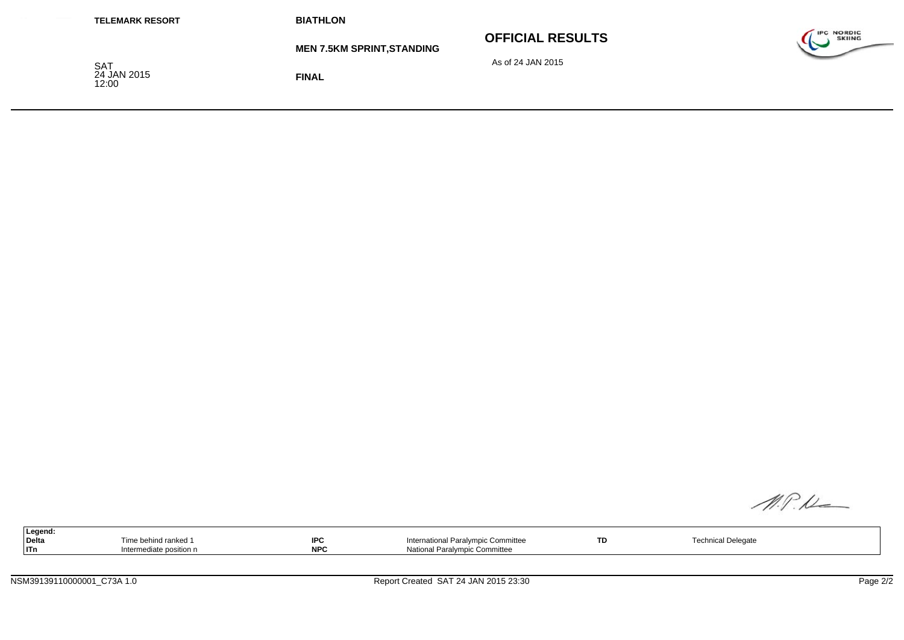| <b>TELEMARK RESORT</b>             | <b>BIATHLON</b>                   |                         |                                    |
|------------------------------------|-----------------------------------|-------------------------|------------------------------------|
|                                    | <b>MEN 7.5KM SPRINT, STANDING</b> | <b>OFFICIAL RESULTS</b> | <b>IPC NORDIC</b><br><b>SKIING</b> |
| <b>SAT</b><br>24 JAN 2015<br>12:00 | <b>FINAL</b>                      | As of 24 JAN 2015       |                                    |

| Legend:<br>Delta<br>$ $ ITn | Time behind ranked 1<br>Intermediate position n | <b>IPC</b><br><b>NPC</b> | International Paralympic Committee<br>National Paralympic Committee | TD. | <b>Technical Delegate</b> |  |
|-----------------------------|-------------------------------------------------|--------------------------|---------------------------------------------------------------------|-----|---------------------------|--|
|                             |                                                 |                          |                                                                     |     |                           |  |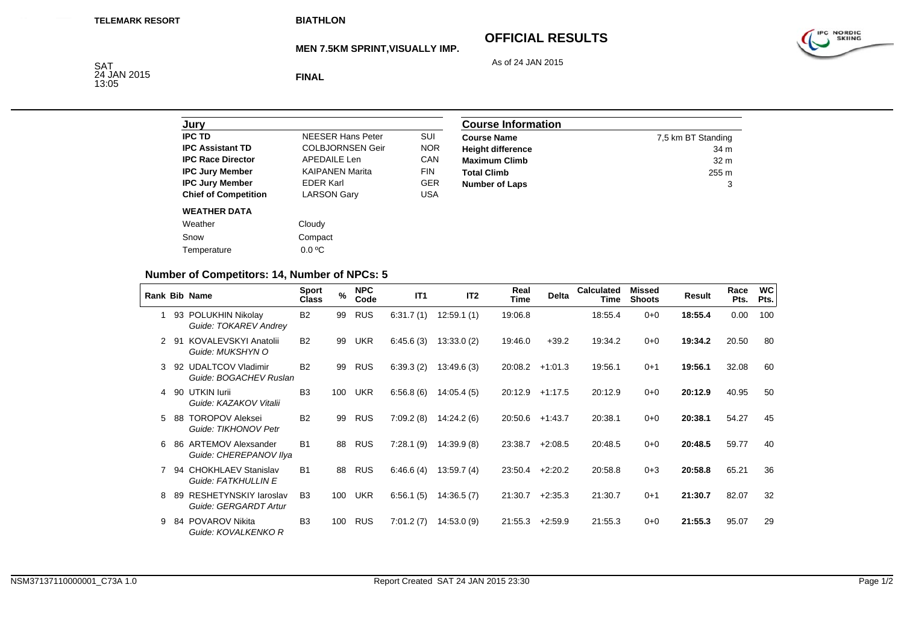**MEN 7.5KM SPRINT,VISUALLY IMP.**

# **OFFICIAL RESULTS**



As of 24 JAN 2015

SAT<br>24 JAN 2015<br>13:05

**FINAL**

| Jurv                        |                          |            |
|-----------------------------|--------------------------|------------|
| <b>IPC TD</b>               | <b>NFFSFR Hans Peter</b> | SUI        |
| <b>IPC Assistant TD</b>     | <b>COLBJORNSEN Geir</b>  | <b>NOR</b> |
| <b>IPC Race Director</b>    | APFDAIL F Len            | CAN        |
| <b>IPC Jury Member</b>      | <b>KAIPANEN Marita</b>   | <b>FIN</b> |
| <b>IPC Jury Member</b>      | <b>FDFR Karl</b>         | GFR        |
| <b>Chief of Competition</b> | <b>LARSON Gary</b>       | <b>USA</b> |
| <b>WEATHER DATA</b>         |                          |            |
| Weather                     | Cloudy                   |            |
| Snow                        | Compact                  |            |
| Temperature                 | $0.0 \degree C$          |            |

| <b>Course Information</b> |                    |  |  |  |  |
|---------------------------|--------------------|--|--|--|--|
| <b>Course Name</b>        | 7,5 km BT Standing |  |  |  |  |
| <b>Height difference</b>  | 34 m               |  |  |  |  |
| <b>Maximum Climb</b>      | 32 <sub>m</sub>    |  |  |  |  |
| <b>Total Climb</b>        | 255 m              |  |  |  |  |
| <b>Number of Laps</b>     | 3                  |  |  |  |  |

## **Number of Competitors: 14, Number of NPCs: 5**

|   |     | <b>Rank Bib Name</b>                                  | <b>Sport</b><br><b>Class</b> | $\%$ | <b>NPC</b><br>Code | IT1       | IT <sub>2</sub> | Real<br>Time | <b>Delta</b> | <b>Calculated</b><br>Time | <b>Missed</b><br><b>Shoots</b> | Result  | Race<br>Pts. | WC<br>Pts. |
|---|-----|-------------------------------------------------------|------------------------------|------|--------------------|-----------|-----------------|--------------|--------------|---------------------------|--------------------------------|---------|--------------|------------|
|   | 93  | POLUKHIN Nikolay<br>Guide: TOKAREV Andrey             | <b>B2</b>                    | 99   | <b>RUS</b>         | 6:31.7(1) | 12.59.1(1)      | 19:06.8      |              | 18:55.4                   | $0 + 0$                        | 18:55.4 | 0.00         | 100        |
| 2 | -91 | KOVALEVSKYI Anatolii<br>Guide: MUKSHYN O              | <b>B2</b>                    | 99   | UKR                | 6:45.6(3) | 13:33.0(2)      | 19:46.0      | $+39.2$      | 19:34.2                   | $0 + 0$                        | 19:34.2 | 20.50        | 80         |
| 3 | -92 | <b>UDALTCOV Vladimir</b><br>Guide: BOGACHEV Ruslan    | <b>B2</b>                    | 99   | <b>RUS</b>         | 6:39.3(2) | 13:49.6(3)      | 20:08.2      | $+1:01.3$    | 19:56.1                   | $0+1$                          | 19:56.1 | 32.08        | 60         |
| 4 | 90  | UTKIN lurii<br>Guide: KAZAKOV Vitalii                 | B <sub>3</sub>               | 100  | <b>UKR</b>         | 6:56.8(6) | 14.05.4(5)      | 20:12.9      | $+1:17.5$    | 20:12.9                   | $0 + 0$                        | 20:12.9 | 40.95        | 50         |
| 5 | -88 | <b>TOROPOV Aleksei</b><br>Guide: TIKHONOV Petr        | <b>B2</b>                    | 99   | <b>RUS</b>         | 7:09.2(8) | 14:24.2 (6)     | 20:50.6      | $+1:43.7$    | 20:38.1                   | $0 + 0$                        | 20:38.1 | 54.27        | 45         |
| 6 | 86  | <b>ARTEMOV Alexsander</b><br>Guide: CHEREPANOV Ilya   | <b>B1</b>                    | 88   | <b>RUS</b>         | 7:28.1(9) | 14:39.9(8)      | 23:38.7      | $+2:08.5$    | 20:48.5                   | $0 + 0$                        | 20:48.5 | 59.77        | 40         |
|   | 94  | <b>CHOKHLAEV Stanislav</b><br>Guide: FATKHULLIN E     | <b>B1</b>                    | 88   | <b>RUS</b>         | 6.46.6(4) | 13:59.7(4)      | 23:50.4      | $+2:20.2$    | 20:58.8                   | $0 + 3$                        | 20:58.8 | 65.21        | 36         |
| 8 | 89  | <b>RESHETYNSKIY laroslav</b><br>Guide: GERGARDT Artur | B <sub>3</sub>               | 100  | <b>UKR</b>         | 6:56.1(5) | 14:36.5(7)      | 21:30.7      | $+2:35.3$    | 21:30.7                   | $0 + 1$                        | 21:30.7 | 82.07        | 32         |
| 9 | 84  | <b>POVAROV Nikita</b><br>Guide: KOVALKENKO R          | B <sub>3</sub>               | 100  | <b>RUS</b>         | 7:01.2(7) | 14:53.0(9)      | 21:55.3      | $+2:59.9$    | 21:55.3                   | $0 + 0$                        | 21:55.3 | 95.07        | 29         |